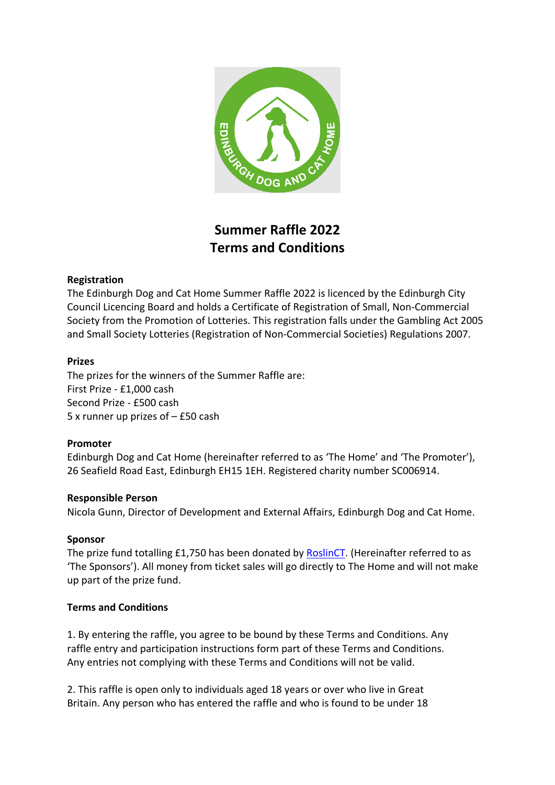

# **Summer Raffle 2022 Terms and Conditions**

## **Registration**

The Edinburgh Dog and Cat Home Summer Raffle 2022 is licenced by the Edinburgh City Council Licencing Board and holds a Certificate of Registration of Small, Non-Commercial Society from the Promotion of Lotteries. This registration falls under the Gambling Act 2005 and Small Society Lotteries (Registration of Non-Commercial Societies) Regulations 2007.

### **Prizes**

The prizes for the winners of the Summer Raffle are: First Prize - £1,000 cash Second Prize - £500 cash 5 x runner up prizes of – £50 cash

### **Promoter**

Edinburgh Dog and Cat Home (hereinafter referred to as 'The Home' and 'The Promoter'), 26 Seafield Road East, Edinburgh EH15 1EH. Registered charity number SC006914.

### **Responsible Person**

Nicola Gunn, Director of Development and External Affairs, Edinburgh Dog and Cat Home.

### **Sponsor**

The prize fund totalling £1,750 has been donated by [RoslinCT.](https://link.edgepilot.com/s/4010732e/xlynxd24C0GWTPPc9VfAcQ?u=https://www.roslinct.com/) (Hereinafter referred to as 'The Sponsors'). All money from ticket sales will go directly to The Home and will not make up part of the prize fund.

### **Terms and Conditions**

1. By entering the raffle, you agree to be bound by these Terms and Conditions. Any raffle entry and participation instructions form part of these Terms and Conditions. Any entries not complying with these Terms and Conditions will not be valid.

2. This raffle is open only to individuals aged 18 years or over who live in Great Britain. Any person who has entered the raffle and who is found to be under 18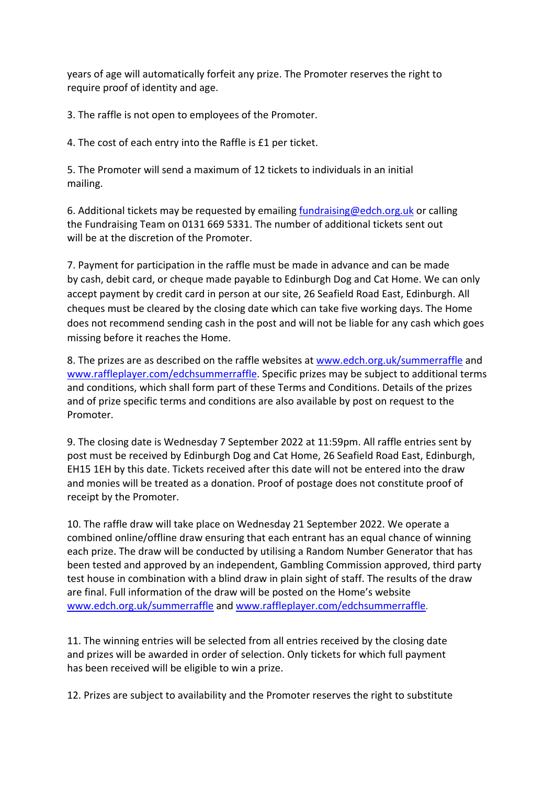years of age will automatically forfeit any prize. The Promoter reserves the right to require proof of identity and age.

3. The raffle is not open to employees of the Promoter.

4. The cost of each entry into the Raffle is £1 per ticket.

5. The Promoter will send a maximum of 12 tickets to individuals in an initial mailing.

6. Additional tickets may be requested by emailing [fundraising@edch.org.uk](mailto:fundraising@edch.org.uk) or calling the Fundraising Team on 0131 669 5331. The number of additional tickets sent out will be at the discretion of the Promoter.

7. Payment for participation in the raffle must be made in advance and can be made by cash, debit card, or cheque made payable to Edinburgh Dog and Cat Home. We can only accept payment by credit card in person at our site, 26 Seafield Road East, Edinburgh. All cheques must be cleared by the closing date which can take five working days. The Home does not recommend sending cash in the post and will not be liable for any cash which goes missing before it reaches the Home.

8. The prizes are as described on the raffle websites at [www.edch.org.uk/summerraffle](http://www.edch.org.uk/summerraffle) and [www.raffleplayer.com/edchsummerraffle.](http://www.raffleplayer.com/edchsummerraffle) Specific prizes may be subject to additional terms and conditions, which shall form part of these Terms and Conditions. Details of the prizes and of prize specific terms and conditions are also available by post on request to the Promoter.

9. The closing date is Wednesday 7 September 2022 at 11:59pm. All raffle entries sent by post must be received by Edinburgh Dog and Cat Home, 26 Seafield Road East, Edinburgh, EH15 1EH by this date. Tickets received after this date will not be entered into the draw and monies will be treated as a donation. Proof of postage does not constitute proof of receipt by the Promoter.

10. The raffle draw will take place on Wednesday 21 September 2022. We operate a combined online/offline draw ensuring that each entrant has an equal chance of winning each prize. The draw will be conducted by utilising a Random Number Generator that has been tested and approved by an independent, Gambling Commission approved, third party test house in combination with a blind draw in plain sight of staff. The results of the draw are final. Full information of the draw will be posted on the Home's website [www.edch.org.uk/summerraffle](http://www.edch.org.uk/summerraffle) and [www.raffleplayer.com/edchsummerraffle.](http://www.raffleplayer.com/edchsummerraffle)

11. The winning entries will be selected from all entries received by the closing date and prizes will be awarded in order of selection. Only tickets for which full payment has been received will be eligible to win a prize.

12. Prizes are subject to availability and the Promoter reserves the right to substitute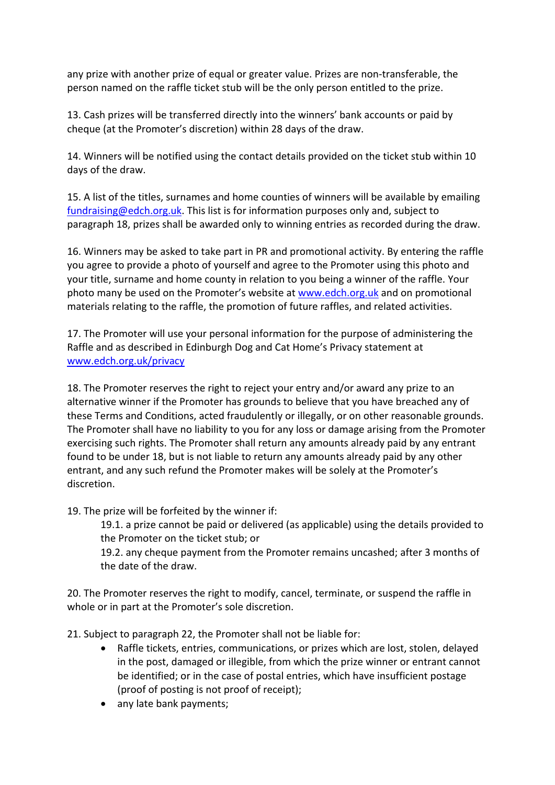any prize with another prize of equal or greater value. Prizes are non-transferable, the person named on the raffle ticket stub will be the only person entitled to the prize.

13. Cash prizes will be transferred directly into the winners' bank accounts or paid by cheque (at the Promoter's discretion) within 28 days of the draw.

14. Winners will be notified using the contact details provided on the ticket stub within 10 days of the draw.

15. A list of the titles, surnames and home counties of winners will be available by emailing [fundraising@edch.org.uk.](mailto:fundraising@edch.org.uk) This list is for information purposes only and, subject to paragraph 18, prizes shall be awarded only to winning entries as recorded during the draw.

16. Winners may be asked to take part in PR and promotional activity. By entering the raffle you agree to provide a photo of yourself and agree to the Promoter using this photo and your title, surname and home county in relation to you being a winner of the raffle. Your photo many be used on the Promoter's website at [www.edch.org.uk](http://www.edch.org.uk/) and on promotional materials relating to the raffle, the promotion of future raffles, and related activities.

17. The Promoter will use your personal information for the purpose of administering the Raffle and as described in Edinburgh Dog and Cat Home's Privacy statement at [www.edch.org.uk/privacy](http://www.edch.org.uk/privacy) 

18. The Promoter reserves the right to reject your entry and/or award any prize to an alternative winner if the Promoter has grounds to believe that you have breached any of these Terms and Conditions, acted fraudulently or illegally, or on other reasonable grounds. The Promoter shall have no liability to you for any loss or damage arising from the Promoter exercising such rights. The Promoter shall return any amounts already paid by any entrant found to be under 18, but is not liable to return any amounts already paid by any other entrant, and any such refund the Promoter makes will be solely at the Promoter's discretion.

19. The prize will be forfeited by the winner if:

19.1. a prize cannot be paid or delivered (as applicable) using the details provided to the Promoter on the ticket stub; or

19.2. any cheque payment from the Promoter remains uncashed; after 3 months of the date of the draw.

20. The Promoter reserves the right to modify, cancel, terminate, or suspend the raffle in whole or in part at the Promoter's sole discretion.

21. Subject to paragraph 22, the Promoter shall not be liable for:

- Raffle tickets, entries, communications, or prizes which are lost, stolen, delayed in the post, damaged or illegible, from which the prize winner or entrant cannot be identified; or in the case of postal entries, which have insufficient postage (proof of posting is not proof of receipt);
- any late bank payments;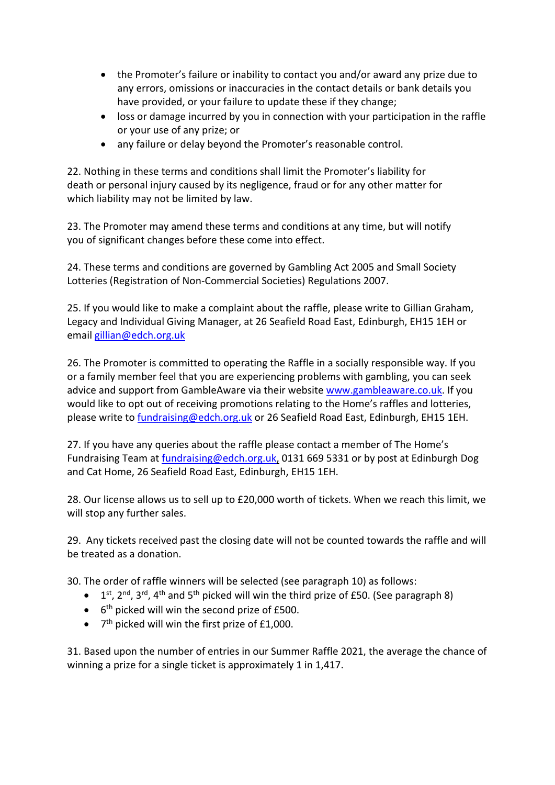- the Promoter's failure or inability to contact you and/or award any prize due to any errors, omissions or inaccuracies in the contact details or bank details you have provided, or your failure to update these if they change;
- loss or damage incurred by you in connection with your participation in the raffle or your use of any prize; or
- any failure or delay beyond the Promoter's reasonable control.

22. Nothing in these terms and conditions shall limit the Promoter's liability for death or personal injury caused by its negligence, fraud or for any other matter for which liability may not be limited by law.

23. The Promoter may amend these terms and conditions at any time, but will notify you of significant changes before these come into effect.

24. These terms and conditions are governed by Gambling Act 2005 and Small Society Lotteries (Registration of Non-Commercial Societies) Regulations 2007.

25. If you would like to make a complaint about the raffle, please write to Gillian Graham, Legacy and Individual Giving Manager, at 26 Seafield Road East, Edinburgh, EH15 1EH or email [gillian@edch.org.uk](mailto:gillian@edch.org.uk) 

26. The Promoter is committed to operating the Raffle in a socially responsible way. If you or a family member feel that you are experiencing problems with gambling, you can seek advice and support from GambleAware via their website [www.gambleaware.co.uk.](http://www.gambleaware.co.uk/) If you would like to opt out of receiving promotions relating to the Home's raffles and lotteries, please write to [fundraising@edch.org.uk](mailto:fundraising@edch.org.uk) or 26 Seafield Road East, Edinburgh, EH15 1EH.

27. If you have any queries about the raffle please contact a member of The Home's Fundraising Team at [fundraising@edch.org.uk,](mailto:fundraising@edch.org.uk) 0131 669 5331 or by post at Edinburgh Dog and Cat Home, 26 Seafield Road East, Edinburgh, EH15 1EH.

28. Our license allows us to sell up to £20,000 worth of tickets. When we reach this limit, we will stop any further sales.

29. Any tickets received past the closing date will not be counted towards the raffle and will be treated as a donation.

30. The order of raffle winners will be selected (see paragraph 10) as follows:

- $\bullet$  1<sup>st</sup>, 2<sup>nd</sup>, 3<sup>rd</sup>, 4<sup>th</sup> and 5<sup>th</sup> picked will win the third prize of £50. (See paragraph 8)
- $\bullet$  6<sup>th</sup> picked will win the second prize of £500.
- $\bullet$  7<sup>th</sup> picked will win the first prize of £1,000.

31. Based upon the number of entries in our Summer Raffle 2021, the average the chance of winning a prize for a single ticket is approximately 1 in 1,417.